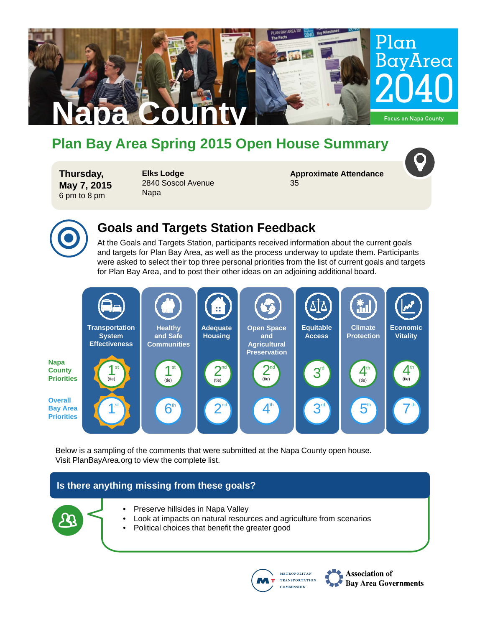

# **Plan Bay Area Spring 2015 Open House Summary**

**Thursday, May 7, 2015** 6 pm to 8 pm

**Elks Lodge** 2840 Soscol Avenue Napa

**Approximate Attendance** 35



### **Goals and Targets Station Feedback**

At the Goals and Targets Station, participants received information about the current goals and targets for Plan Bay Area, as well as the process underway to update them. Participants were asked to select their top three personal priorities from the list of current goals and targets for Plan Bay Area, and to post their other ideas on an adjoining additional board.



Below is a sampling of the comments that were submitted at the Napa County open house. Visit PlanBayArea.org to view the complete list.

### **Is there anything missing from these goals?**

- 
- Preserve hillsides in Napa Valley
- Look at impacts on natural resources and agriculture from scenarios
- Political choices that benefit the greater good



Association of **Bay Area Governments**